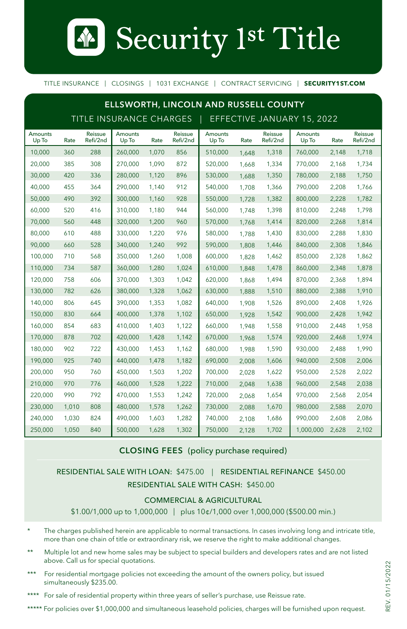**Security 1st Title** 

TITLE INSURANCE | CLOSINGS | 1031 EXCHANGE | CONTRACT SERVICING | **SECURITY1ST.COM**

| ELLSWORTH, LINCOLN AND RUSSELL COUNTY |                                |                     |                  |       |                     |                            |       |                     |                         |       |                     |
|---------------------------------------|--------------------------------|---------------------|------------------|-------|---------------------|----------------------------|-------|---------------------|-------------------------|-------|---------------------|
|                                       | <b>TITLE INSURANCE CHARGES</b> |                     |                  |       |                     | EFFECTIVE JANUARY 15, 2022 |       |                     |                         |       |                     |
| Amounts<br>Up To                      | Rate                           | Reissue<br>Refi/2nd | Amounts<br>Up To | Rate  | Reissue<br>Refi/2nd | Amounts<br>Up To           | Rate  | Reissue<br>Refi/2nd | <b>Amounts</b><br>Up To | Rate  | Reissue<br>Refi/2nd |
| 10,000                                | 360                            | 288                 | 260,000          | 1.070 | 856                 | 510.000                    | 1.648 | 1,318               | 760,000                 | 2.148 | 1,718               |
| 20,000                                | 385                            | 308                 | 270,000          | 1.090 | 872                 | 520,000                    | 1.668 | 1,334               | 770.000                 | 2,168 | 1,734               |
| 30,000                                | 420                            | 336                 | 280,000          | 1.120 | 896                 | 530.000                    | 1,688 | 1,350               | 780,000                 | 2,188 | 1,750               |
| 40,000                                | 455                            | 364                 | 290,000          | 1,140 | 912                 | 540,000                    | 1.708 | 1,366               | 790,000                 | 2,208 | 1,766               |
| 50,000                                | 490                            | 392                 | 300,000          | 1,160 | 928                 | 550,000                    | 1,728 | 1,382               | 800,000                 | 2,228 | 1,782               |
| 60,000                                | 520                            | 416                 | 310,000          | 1.180 | 944                 | 560,000                    | 1.748 | 1,398               | 810.000                 | 2,248 | 1.798               |
| 70,000                                | 560                            | 448                 | 320,000          | 1,200 | 960                 | 570,000                    | 1,768 | 1,414               | 820,000                 | 2,268 | 1,814               |
| 80,000                                | 610                            | 488                 | 330,000          | 1.220 | 976                 | 580,000                    | 1,788 | 1,430               | 830.000                 | 2.288 | 1,830               |
| 90,000                                | 660                            | 528                 | 340,000          | 1,240 | 992                 | 590,000                    | 1.808 | 1,446               | 840,000                 | 2,308 | 1,846               |
| 100,000                               | 710                            | 568                 | 350,000          | 1,260 | 1,008               | 600,000                    | 1.828 | 1,462               | 850,000                 | 2,328 | 1,862               |
| 110,000                               | 734                            | 587                 | 360,000          | 1.280 | 1.024               | 610,000                    | 1.848 | 1,478               | 860,000                 | 2,348 | 1,878               |
| 120,000                               | 758                            | 606                 | 370.000          | 1.303 | 1.042               | 620.000                    | 1,868 | 1,494               | 870.000                 | 2.368 | 1.894               |
| 130,000                               | 782                            | 626                 | 380,000          | 1,328 | 1,062               | 630,000                    | 1.888 | 1,510               | 880,000                 | 2,388 | 1,910               |
| 140,000                               | 806                            | 645                 | 390,000          | 1,353 | 1,082               | 640,000                    | 1.908 | 1,526               | 890.000                 | 2,408 | 1,926               |
| 150,000                               | 830                            | 664                 | 400,000          | 1,378 | 1,102               | 650,000                    | 1.928 | 1,542               | 900,000                 | 2,428 | 1,942               |
| 160,000                               | 854                            | 683                 | 410,000          | 1.403 | 1,122               | 660.000                    | 1,948 | 1,558               | 910.000                 | 2.448 | 1,958               |
| 170,000                               | 878                            | 702                 | 420,000          | 1,428 | 1,142               | 670,000                    | 1,968 | 1,574               | 920,000                 | 2,468 | 1,974               |
| 180,000                               | 902                            | 722                 | 430,000          | 1,453 | 1,162               | 680,000                    | 1,988 | 1,590               | 930,000                 | 2,488 | 1,990               |
| 190,000                               | 925                            | 740                 | 440,000          | 1,478 | 1,182               | 690,000                    | 2.008 | 1,606               | 940,000                 | 2,508 | 2,006               |
| 200,000                               | 950                            | 760                 | 450,000          | 1,503 | 1,202               | 700,000                    | 2,028 | 1,622               | 950,000                 | 2,528 | 2,022               |
| 210,000                               | 970                            | 776                 | 460,000          | 1,528 | 1.222               | 710,000                    | 2,048 | 1,638               | 960.000                 | 2.548 | 2,038               |
| 220,000                               | 990                            | 792                 | 470,000          | 1,553 | 1,242               | 720,000                    | 2,068 | 1,654               | 970,000                 | 2,568 | 2,054               |
| 230,000                               | 1,010                          | 808                 | 480,000          | 1,578 | 1,262               | 730,000                    | 2,088 | 1,670               | 980.000                 | 2,588 | 2,070               |
| 240,000                               | 1.030                          | 824                 | 490,000          | 1.603 | 1,282               | 740,000                    | 2.108 | 1,686               | 990.000                 | 2.608 | 2,086               |
| 250,000                               | 1.050                          | 840                 | 500,000          | 1,628 | 1,302               | 750,000                    | 2,128 | 1,702               | 1,000,000               | 2,628 | 2,102               |

## **CLOSING FEES** (policy purchase required)

## RESIDENTIAL SALE WITH LOAN: \$475.00 | RESIDENTIAL REFINANCE \$450.00 RESIDENTIAL SALE WITH CASH: \$450.00

## COMMERCIAL & AGRICULTURAL

\$1.00/1,000 up to 1,000,000 | plus 10¢/1,000 over 1,000,000 (\$500.00 min.)

- The charges published herein are applicable to normal transactions. In cases involving long and intricate title, more than one chain of title or extraordinary risk, we reserve the right to make additional changes.
- \*\* Multiple lot and new home sales may be subject to special builders and developers rates and are not listed above. Call us for special quotations.
- \*\*\* For residential mortgage policies not exceeding the amount of the owners policy, but issued simultaneously \$235.00.
- \*\*\*\* For sale of residential property within three years of seller's purchase, use Reissue rate.
- \*\*\*\*\* For policies over \$1,000,000 and simultaneous leasehold policies, charges will be furnished upon request.